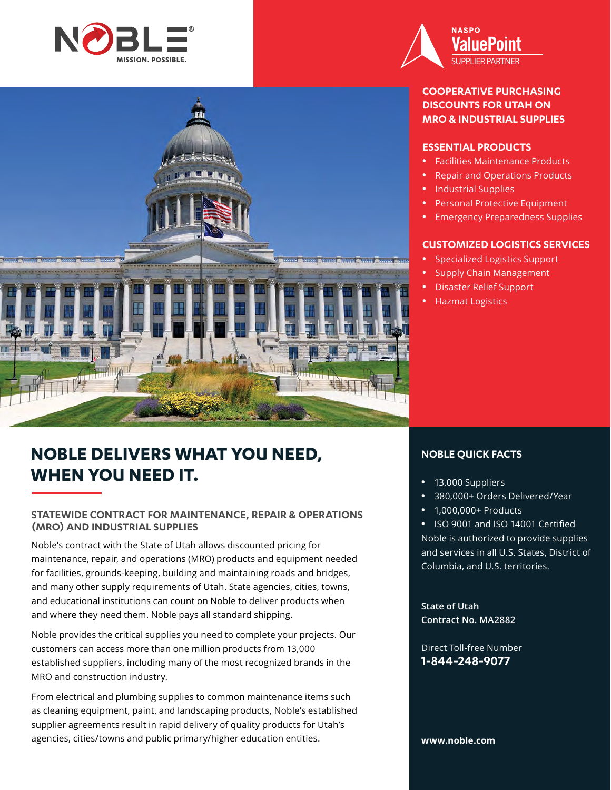



## **COOPERATIVE PURCHASING DISCOUNTS FOR UTAH ON MRO & INDUSTRIAL SUPPLIES**

## **ESSENTIAL PRODUCTS**

- **•** Facilities Maintenance Products
- **•** Repair and Operations Products
- **•** Industrial Supplies
- **•** Personal Protective Equipment
- **•** Emergency Preparedness Supplies

## **CUSTOMIZED LOGISTICS SERVICES**

- **•** Specialized Logistics Support
- **•** Supply Chain Management
- **•** Disaster Relief Support
- **•** Hazmat Logistics

# **NOBLE DELIVERS WHAT YOU NEED, WHEN YOU NEED IT.**

## **STATEWIDE CONTRACT FOR MAINTENANCE, REPAIR & OPERATIONS (MRO) AND INDUSTRIAL SUPPLIES**

Noble's contract with the State of Utah allows discounted pricing for maintenance, repair, and operations (MRO) products and equipment needed for facilities, grounds-keeping, building and maintaining roads and bridges, and many other supply requirements of Utah. State agencies, cities, towns, and educational institutions can count on Noble to deliver products when and where they need them. Noble pays all standard shipping.

Noble provides the critical supplies you need to complete your projects. Our customers can access more than one million products from 13,000 established suppliers, including many of the most recognized brands in the MRO and construction industry.

From electrical and plumbing supplies to common maintenance items such as cleaning equipment, paint, and landscaping products, Noble's established supplier agreements result in rapid delivery of quality products for Utah's agencies, cities/towns and public primary/higher education entities.

## **NOBLE QUICK FACTS**

- **•** 13,000 Suppliers
- **•** 380,000+ Orders Delivered/Year
- **•** 1,000,000+ Products

**•** ISO 9001 and ISO 14001 Certified Noble is authorized to provide supplies and services in all U.S. States, District of Columbia, and U.S. territories.

**State of Utah Contract No. MA2882**

Direct Toll-free Number **1-844-248-9077**

### **www.noble.com**